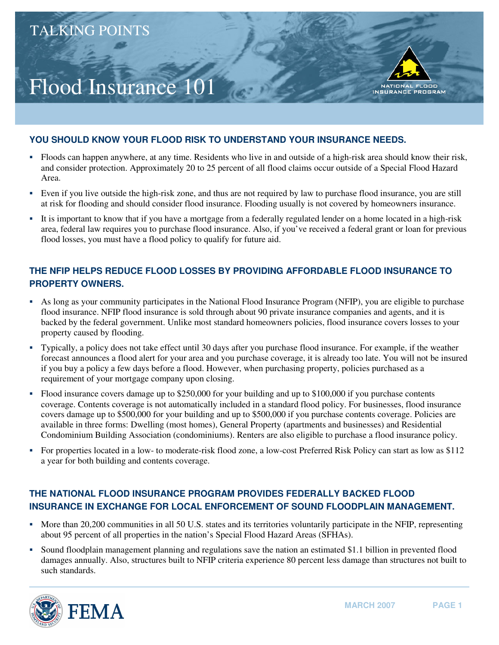## Flood Insurance 101



- � Floods can happen anywhere, at any time. Residents who live in and outside of a high-risk area should know their risk, and consider protection. Approximately 20 to 25 percent of all flood claims occur outside of a Special Flood Hazard Area.
- � Even if you live outside the high-risk zone, and thus are not required by law to purchase flood insurance, you are still at risk for flooding and should consider flood insurance. Flooding usually is not covered by homeowners insurance.
- � It is important to know that if you have a mortgage from a federally regulated lender on a home located in a high-risk area, federal law requires you to purchase flood insurance. Also, if you've received a federal grant or loan for previous flood losses, you must have a flood policy to qualify for future aid.

## **THE NFIP HELPS REDUCE FLOOD LOSSES BY PROVIDING AFFORDABLE FLOOD INSURANCE TO PROPERTY OWNERS.**

- � As long as your community participates in the National Flood Insurance Program (NFIP), you are eligible to purchase flood insurance. NFIP flood insurance is sold through about 90 private insurance companies and agents, and it is backed by the federal government. Unlike most standard homeowners policies, flood insurance covers losses to your property caused by flooding.
- � Typically, a policy does not take effect until 30 days after you purchase flood insurance. For example, if the weather forecast announces a flood alert for your area and you purchase coverage, it is already too late. You will not be insured if you buy a policy a few days before a flood. However, when purchasing property, policies purchased as a requirement of your mortgage company upon closing.
- � Flood insurance covers damage up to \$250,000 for your building and up to \$100,000 if you purchase contents coverage. Contents coverage is not automatically included in a standard flood policy. For businesses, flood insurance covers damage up to \$500,000 for your building and up to \$500,000 if you purchase contents coverage. Policies are available in three forms: Dwelling (most homes), General Property (apartments and businesses) and Residential Condominium Building Association (condominiums). Renters are also eligible to purchase a flood insurance policy.
- � For properties located in a low- to moderate-risk flood zone, a low-cost Preferred Risk Policy can start as low as \$112 a year for both building and contents coverage.

## **THE NATIONAL FLOOD INSURANCE PROGRAM PROVIDES FEDERALLY BACKED FLOOD INSURANCE IN EXCHANGE FOR LOCAL ENFORCEMENT OF SOUND FLOODPLAIN MANAGEMENT.**

- � More than 20,200 communities in all 50 U.S. states and its territories voluntarily participate in the NFIP, representing about 95 percent of all properties in the nation's Special Flood Hazard Areas (SFHAs).
- � Sound floodplain management planning and regulations save the nation an estimated \$1.1 billion in prevented flood damages annually. Also, structures built to NFIP criteria experience 80 percent less damage than structures not built to such standards.



**NATIONAL** 

INSURANCE PROGRAM

**FLOOD**